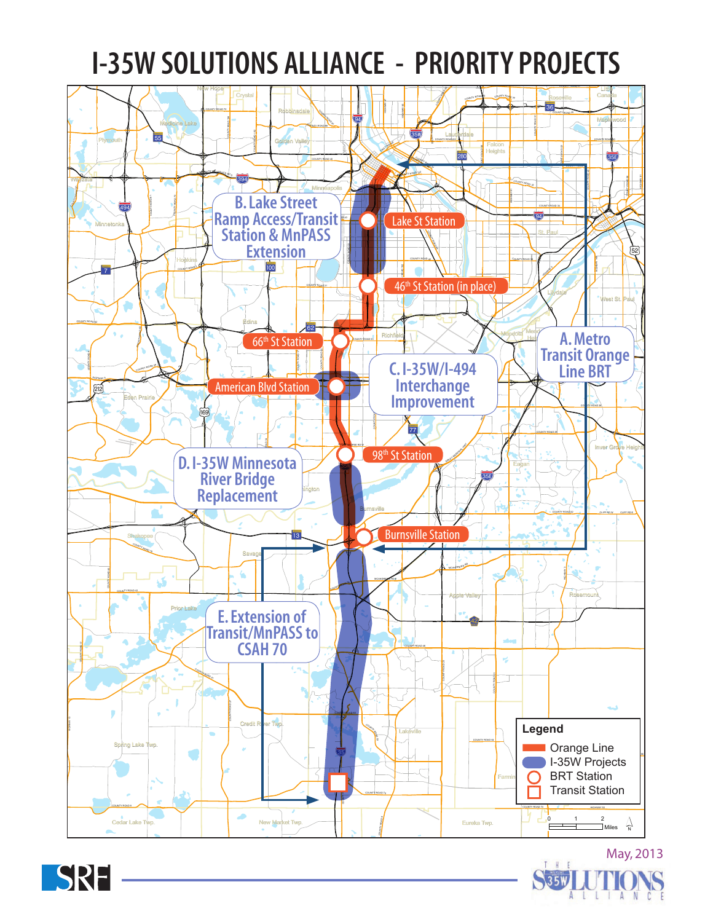## **I-35W SOLUTIONS ALLIANCE - PRIORITY PROJECTS**